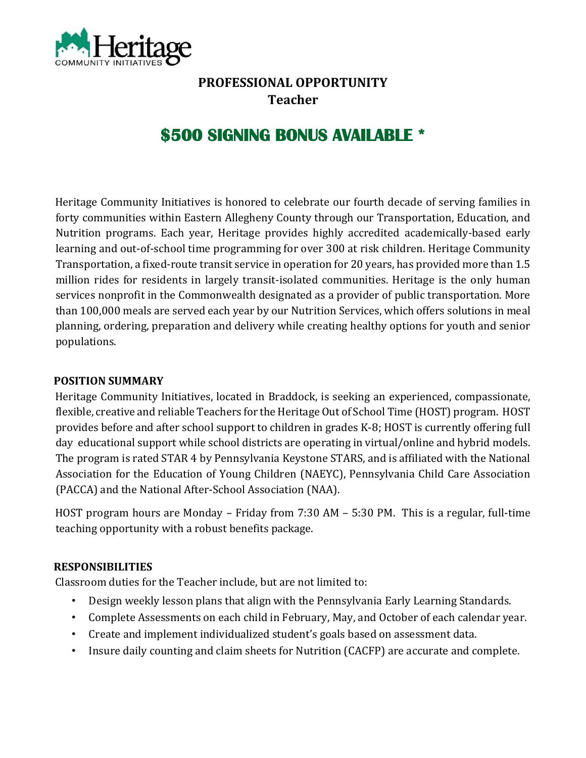

## **PROFESSIONAL OPPORTUNITY Teacher**

# **\$500 SIGNING BONUS AVAILABLE \***

Heritage Community Initiatives is honored to celebrate our fourth decade of serving families in forty communities within Eastern Allegheny County through our Transportation, Education, and Nutrition programs. Each year, Heritage provides highly accredited academically-based early learning and out-of-school time programming for over 300 at risk children. Heritage Community Transportation, a fixed-route transit service in operation for 20 years, has provided more than 1.5 million rides for residents in largely transit-isolated communities. Heritage is the only human services nonprofit in the Commonwealth designated as a provider of public transportation. More than 100,000 meals are served each year by our Nutrition Services, which offers solutions in meal planning, ordering, preparation and delivery while creating healthy options for youth and senior populations.

#### **POSITION SUMMARY**

Heritage Community Initiatives, located in Braddock, is seeking an experienced, compassionate, flexible, creative and reliable Teachers for the Heritage Out of School Time (HOST) program. HOST provides before and after school support to children in grades K-8; HOST is currently offering full day educational support while school districts are operating in virtual/online and hybrid models. The program is rated STAR 4 by Pennsylvania Keystone STARS, and is affiliated with the National Association for the Education of Young Children (NAEYC), Pennsylvania Child Care Association (PACCA) and the National After-School Association (NAA).

HOST program hours are Monday – Friday from 7:30 AM – 5:30 PM. This is a regular, full-time teaching opportunity with a robust benefits package.

#### **RESPONSIBILITIES**

Classroom duties for the Teacher include, but are not limited to:

- Design weekly lesson plans that align with the Pennsylvania Early Learning Standards.
- Complete Assessments on each child in February, May, and October of each calendar year.
- Create and implement individualized student's goals based on assessment data.
- Insure daily counting and claim sheets for Nutrition (CACFP) are accurate and complete.